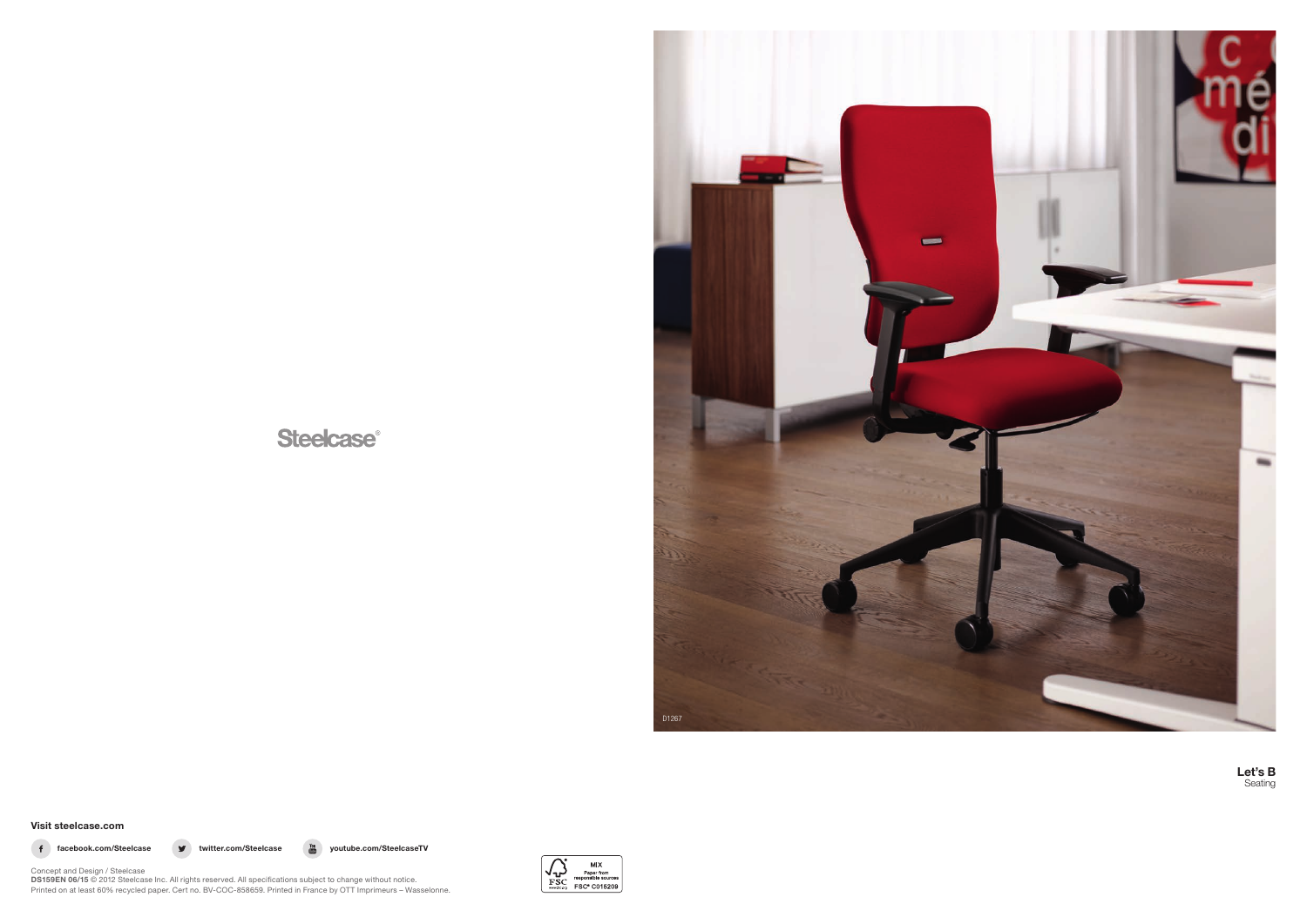# **Steelcase®**



Let's B Seating

Visit steelcase.com



f facebook.com/Steelcase v twitter.com/Steelcase  $\frac{v_{\text{out}}}{\text{cm}}$  youtube.com/SteelcaseTV



Concept and Design / Steelcase **DS159EN 06/15** © 2012 Steelcase Inc. All rights reserved. All specifications subject to change without notice. Printed on at least 60% recycled paper. Cert no. BV-COC-858659. Printed in France by OTT Imprimeurs – Wasselonne.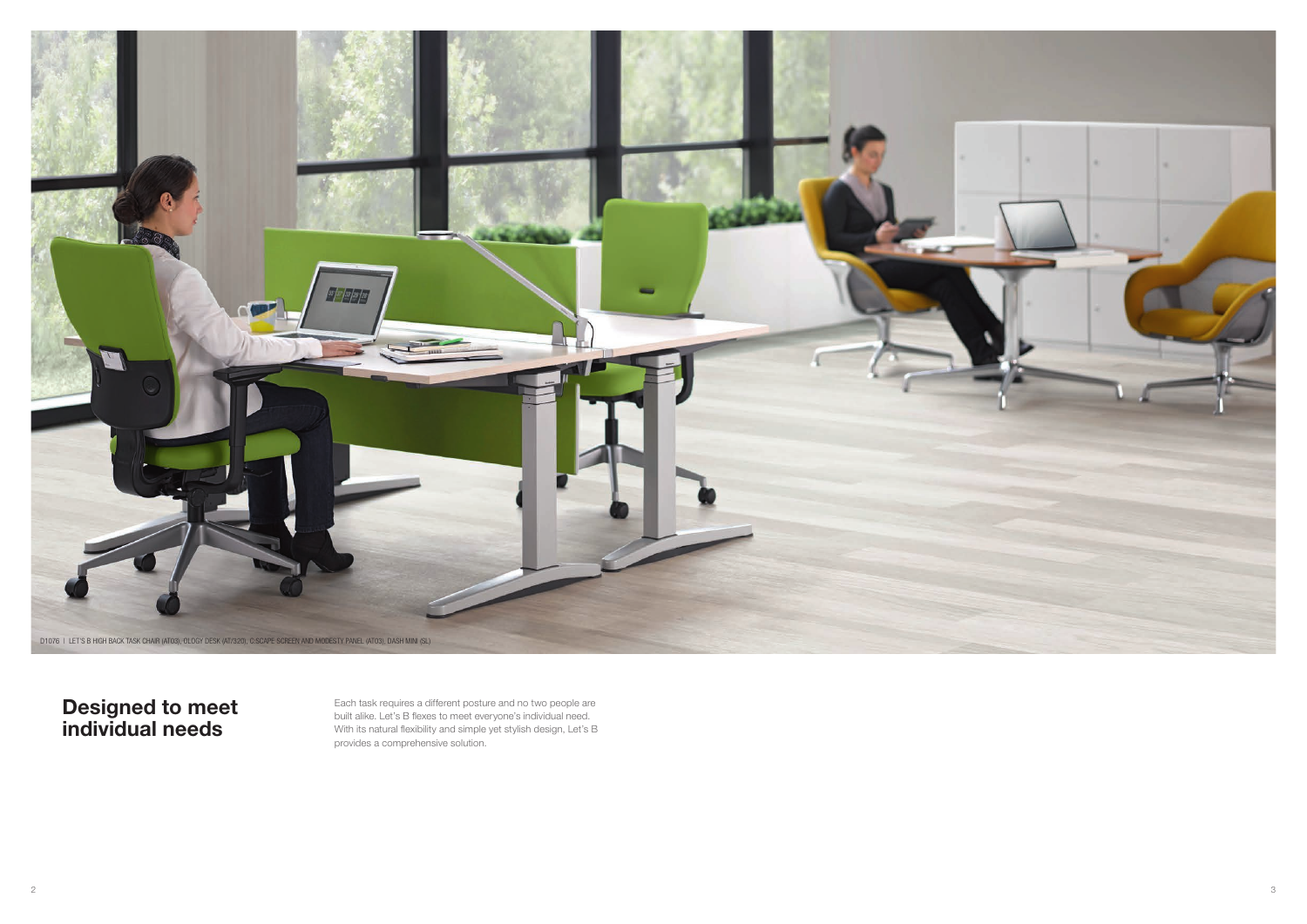Each task requires a different posture and no two people are built alike. Let's B flexes to meet everyone's individual need. With its natural flexibility and simple yet stylish design, Let's B provides a comprehensive solution.

Designed to meet individual needs

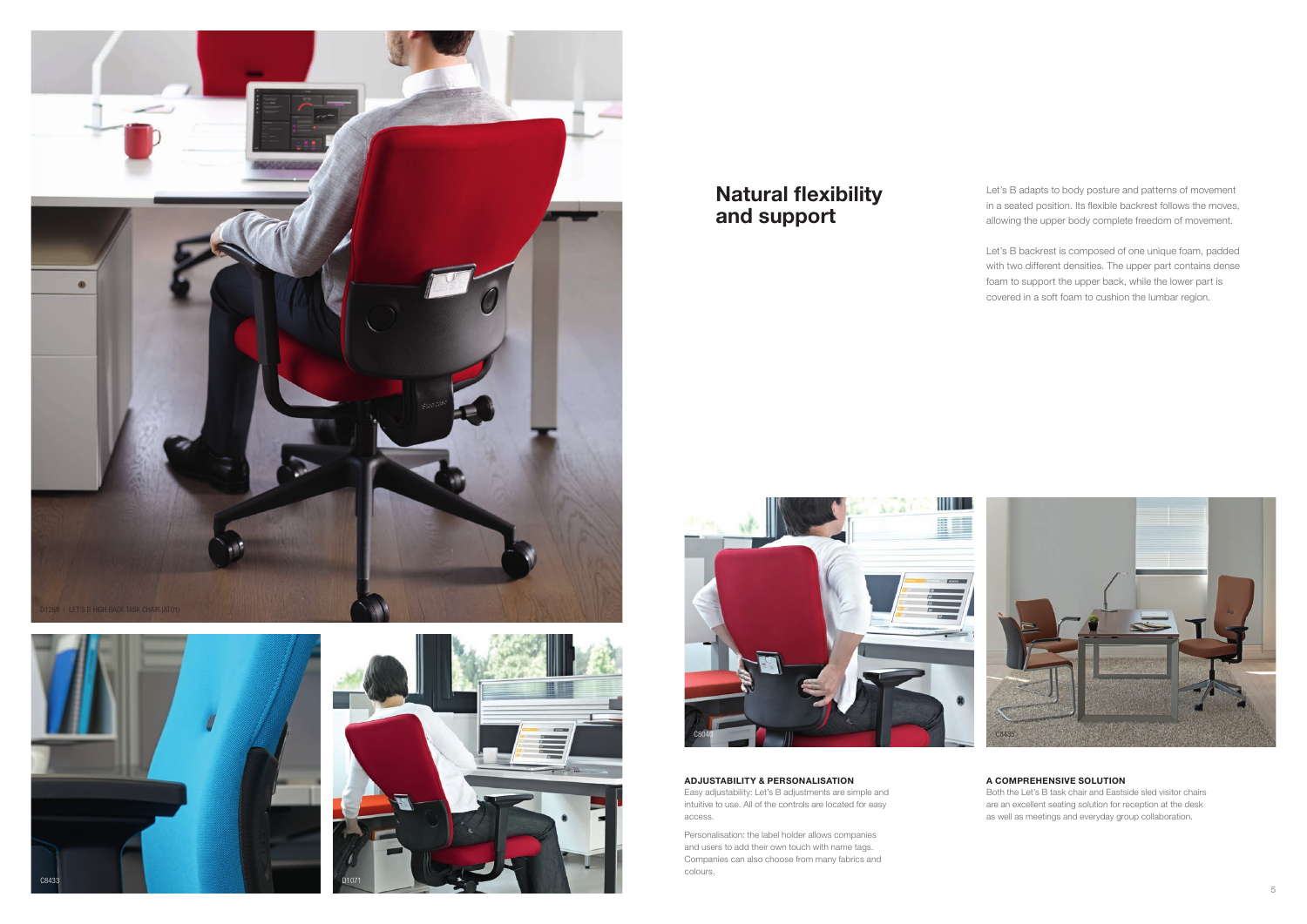







# Natural flexibility and support

Let's B adapts to body posture and patterns of movement in a seated position. Its flexible backrest follows the moves, allowing the upper body complete freedom of movement.

Let's B backrest is composed of one unique foam, padded with two different densities. The upper part contains dense foam to support the upper back, while the lower part is covered in a soft foam to cushion the lumbar region.

# A COMPREHENSIVE SOLUTION

Both the Let's B task chair and Eastside sled visitor chairs are an excellent seating solution for reception at the desk as well as meetings and everyday group collaboration.

ADJUSTABILITY & PERSONALISATION Easy adjustability: Let's B adjustments are simple and

intuitive to use. All of the controls are located for easy access.

Personalisation: the label holder allows companies and users to add their own touch with name tags. Companies can also choose from many fabrics and colours.